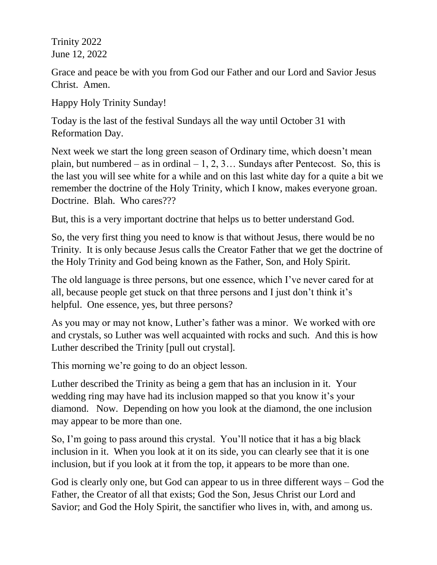Trinity 2022 June 12, 2022

Grace and peace be with you from God our Father and our Lord and Savior Jesus Christ. Amen.

Happy Holy Trinity Sunday!

Today is the last of the festival Sundays all the way until October 31 with Reformation Day.

Next week we start the long green season of Ordinary time, which doesn't mean plain, but numbered – as in ordinal – 1, 2, 3... Sundays after Pentecost. So, this is the last you will see white for a while and on this last white day for a quite a bit we remember the doctrine of the Holy Trinity, which I know, makes everyone groan. Doctrine. Blah. Who cares???

But, this is a very important doctrine that helps us to better understand God.

So, the very first thing you need to know is that without Jesus, there would be no Trinity. It is only because Jesus calls the Creator Father that we get the doctrine of the Holy Trinity and God being known as the Father, Son, and Holy Spirit.

The old language is three persons, but one essence, which I've never cared for at all, because people get stuck on that three persons and I just don't think it's helpful. One essence, yes, but three persons?

As you may or may not know, Luther's father was a minor. We worked with ore and crystals, so Luther was well acquainted with rocks and such. And this is how Luther described the Trinity [pull out crystal].

This morning we're going to do an object lesson.

Luther described the Trinity as being a gem that has an inclusion in it. Your wedding ring may have had its inclusion mapped so that you know it's your diamond. Now. Depending on how you look at the diamond, the one inclusion may appear to be more than one.

So, I'm going to pass around this crystal. You'll notice that it has a big black inclusion in it. When you look at it on its side, you can clearly see that it is one inclusion, but if you look at it from the top, it appears to be more than one.

God is clearly only one, but God can appear to us in three different ways – God the Father, the Creator of all that exists; God the Son, Jesus Christ our Lord and Savior; and God the Holy Spirit, the sanctifier who lives in, with, and among us.